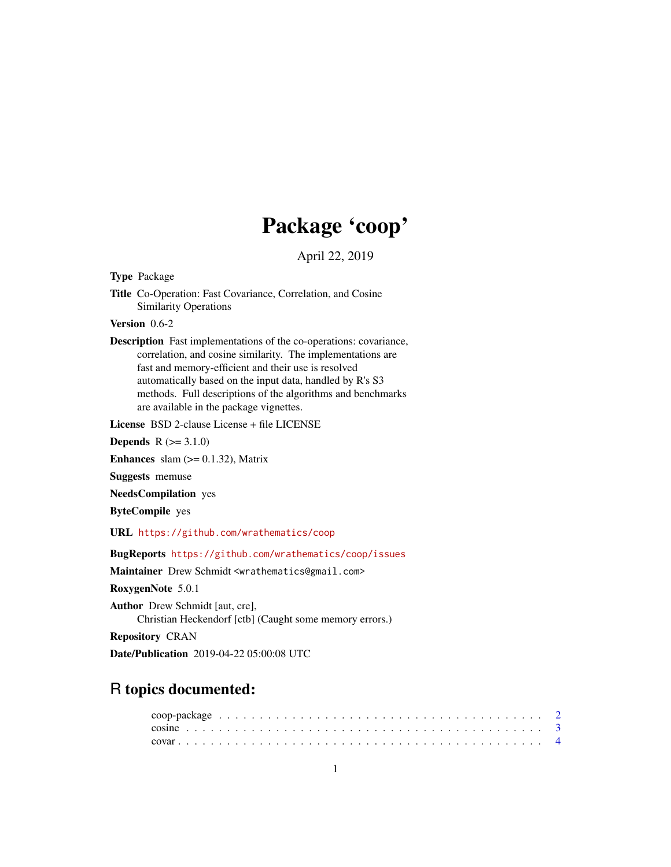# Package 'coop'

April 22, 2019

Type Package

Title Co-Operation: Fast Covariance, Correlation, and Cosine Similarity Operations

Version 0.6-2

Description Fast implementations of the co-operations: covariance, correlation, and cosine similarity. The implementations are fast and memory-efficient and their use is resolved automatically based on the input data, handled by R's S3 methods. Full descriptions of the algorithms and benchmarks are available in the package vignettes.

License BSD 2-clause License + file LICENSE

**Depends**  $R (= 3.1.0)$ 

Enhances slam  $(>= 0.1.32)$ , Matrix

Suggests memuse

NeedsCompilation yes

ByteCompile yes

URL <https://github.com/wrathematics/coop>

BugReports <https://github.com/wrathematics/coop/issues>

Maintainer Drew Schmidt <wrathematics@gmail.com>

RoxygenNote 5.0.1

Author Drew Schmidt [aut, cre], Christian Heckendorf [ctb] (Caught some memory errors.)

Repository CRAN

Date/Publication 2019-04-22 05:00:08 UTC

# R topics documented: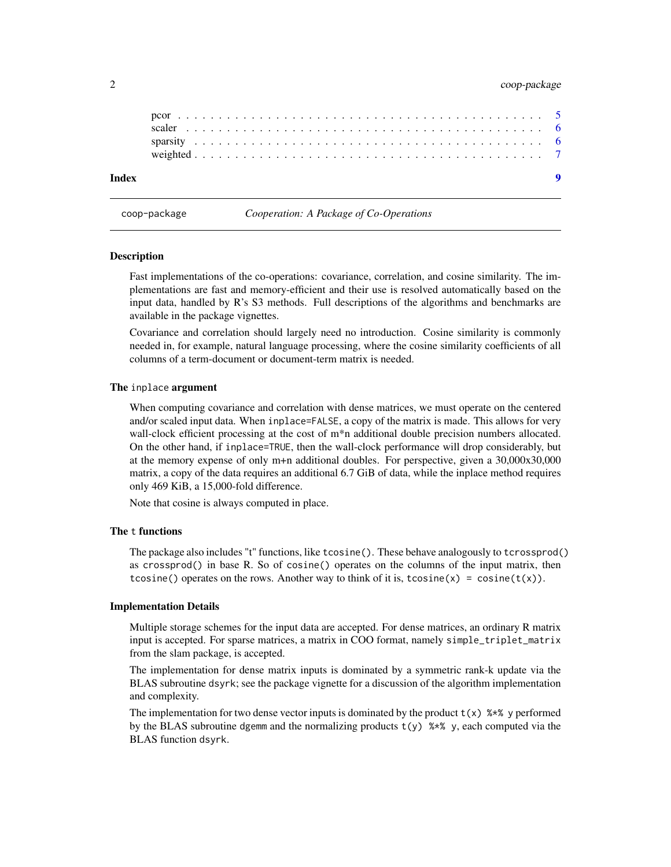# <span id="page-1-0"></span>2 coop-package

coop-package *Cooperation: A Package of Co-Operations*

#### Description

Fast implementations of the co-operations: covariance, correlation, and cosine similarity. The implementations are fast and memory-efficient and their use is resolved automatically based on the input data, handled by R's S3 methods. Full descriptions of the algorithms and benchmarks are available in the package vignettes.

Covariance and correlation should largely need no introduction. Cosine similarity is commonly needed in, for example, natural language processing, where the cosine similarity coefficients of all columns of a term-document or document-term matrix is needed.

#### The inplace argument

When computing covariance and correlation with dense matrices, we must operate on the centered and/or scaled input data. When inplace=FALSE, a copy of the matrix is made. This allows for very wall-clock efficient processing at the cost of m<sup>\*</sup>n additional double precision numbers allocated. On the other hand, if inplace=TRUE, then the wall-clock performance will drop considerably, but at the memory expense of only m+n additional doubles. For perspective, given a 30,000x30,000 matrix, a copy of the data requires an additional 6.7 GiB of data, while the inplace method requires only 469 KiB, a 15,000-fold difference.

Note that cosine is always computed in place.

#### The t functions

The package also includes "t" functions, like tcosine(). These behave analogously to tcrossprod() as crossprod() in base R. So of cosine() operates on the columns of the input matrix, then tcosine() operates on the rows. Another way to think of it is, tcosine(x) = cosine(t(x)).

#### Implementation Details

Multiple storage schemes for the input data are accepted. For dense matrices, an ordinary R matrix input is accepted. For sparse matrices, a matrix in COO format, namely simple\_triplet\_matrix from the slam package, is accepted.

The implementation for dense matrix inputs is dominated by a symmetric rank-k update via the BLAS subroutine dsyrk; see the package vignette for a discussion of the algorithm implementation and complexity.

The implementation for two dense vector inputs is dominated by the product  $t(x)$  %\*% y performed by the BLAS subroutine dgemm and the normalizing products  $t(y)$   $\rightarrow \infty$  y, each computed via the BLAS function dsyrk.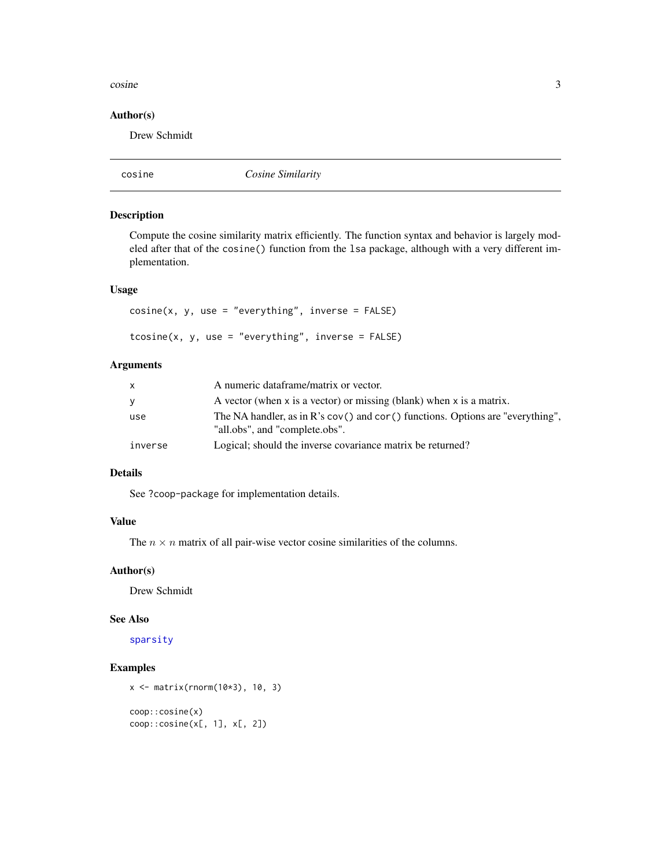#### <span id="page-2-0"></span> $\cosine$   $3$

# Author(s)

Drew Schmidt

<span id="page-2-1"></span>

|--|

# Description

Compute the cosine similarity matrix efficiently. The function syntax and behavior is largely modeled after that of the cosine() function from the lsa package, although with a very different implementation.

### Usage

```
cosine(x, y, use = "everything", inverse = FALSE)tcosine(x, y, use = "everything", inverse = FALSE)
```
# Arguments

| X       | A numeric dataframe/matrix or vector.                                                                            |
|---------|------------------------------------------------------------------------------------------------------------------|
| V       | A vector (when x is a vector) or missing (blank) when x is a matrix.                                             |
| use     | The NA handler, as in R's cov() and cor() functions. Options are "everything",<br>"all.obs", and "complete.obs". |
| inverse | Logical; should the inverse covariance matrix be returned?                                                       |

# Details

See ?coop-package for implementation details.

# Value

The  $n \times n$  matrix of all pair-wise vector cosine similarities of the columns.

#### Author(s)

Drew Schmidt

#### See Also

[sparsity](#page-5-1)

```
x <- matrix(rnorm(10*3), 10, 3)
coop::cosine(x)
coop::cosine(x[, 1], x[, 2])
```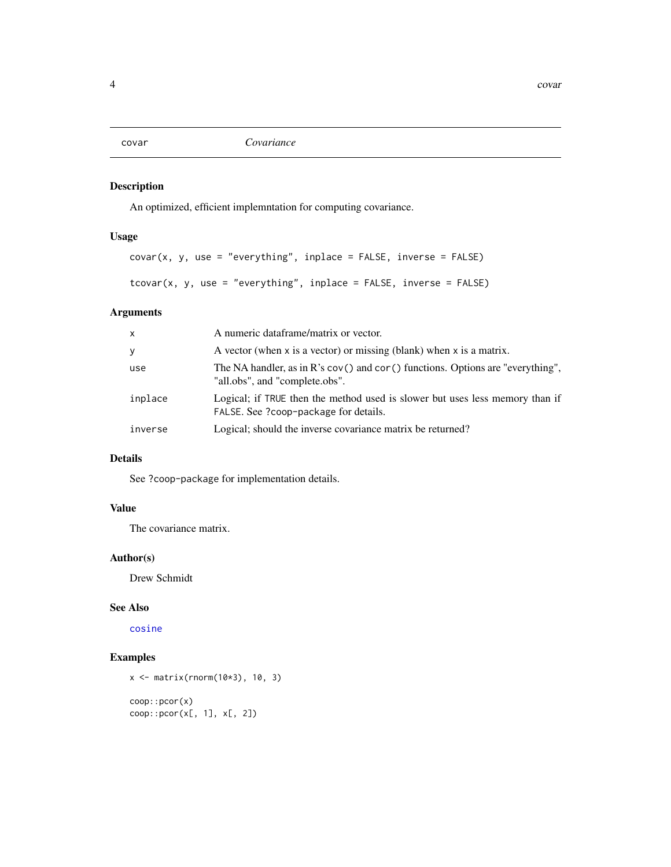<span id="page-3-1"></span><span id="page-3-0"></span>covar *Covariance*

# Description

An optimized, efficient implemntation for computing covariance.

# Usage

```
covar(x, y, use = "everything", inplace = FALSE, inverse = FALSE)tcovar(x, y, use = "everything", inplace = FALSE, inverse = FALSE)
```
# Arguments

| $\mathsf{x}$ | A numeric dataframe/matrix or vector.                                                                                         |
|--------------|-------------------------------------------------------------------------------------------------------------------------------|
| y            | A vector (when $x$ is a vector) or missing (blank) when $x$ is a matrix.                                                      |
| use          | The NA handler, as in $\mathbb{R}^3$ s cov() and cor() functions. Options are "everything",<br>"all.obs", and "complete.obs". |
| inplace      | Logical; if TRUE then the method used is slower but uses less memory than if<br>FALSE. See ?coop-package for details.         |
| inverse      | Logical; should the inverse covariance matrix be returned?                                                                    |

# Details

See ?coop-package for implementation details.

# Value

The covariance matrix.

# Author(s)

Drew Schmidt

#### See Also

[cosine](#page-2-1)

```
x <- matrix(rnorm(10*3), 10, 3)
coop::pcor(x)
coop::pcor(x[, 1], x[, 2])
```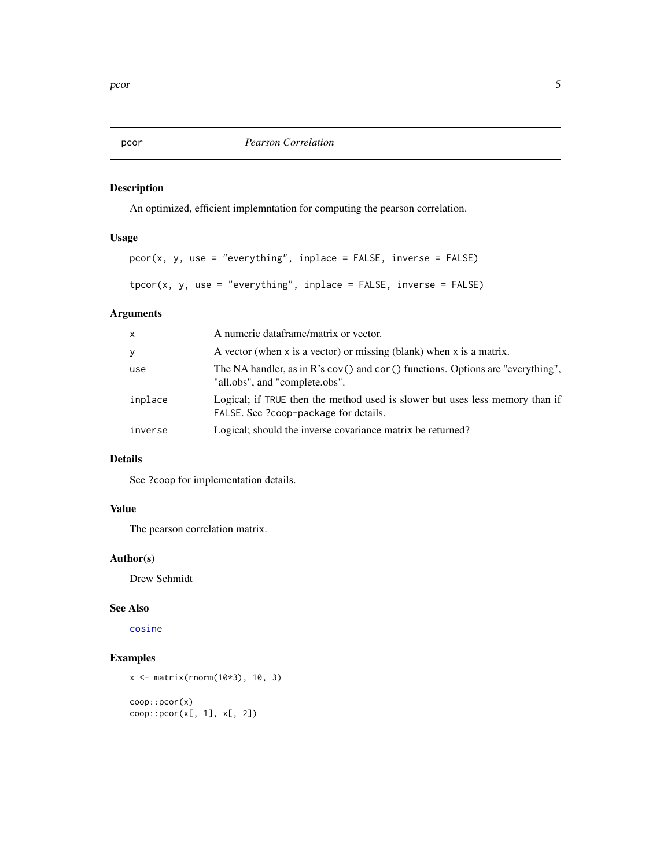<span id="page-4-1"></span><span id="page-4-0"></span>pcor *Pearson Correlation*

# Description

An optimized, efficient implemntation for computing the pearson correlation.

### Usage

```
pcor(x, y, use = "everything", inplace = FALSE, inverse = FALSE)tpcor(x, y, use = "everything", inplace = FALSE, inverse = FALSE)
```
# Arguments

| $\mathsf{x}$ | A numeric dataframe/matrix or vector.                                                                                 |
|--------------|-----------------------------------------------------------------------------------------------------------------------|
| У            | A vector (when x is a vector) or missing (blank) when x is a matrix.                                                  |
| use          | The NA handler, as in $R$ 's cov() and cor() functions. Options are "everything",<br>"all.obs", and "complete.obs".   |
| inplace      | Logical; if TRUE then the method used is slower but uses less memory than if<br>FALSE. See ?coop-package for details. |
| inverse      | Logical; should the inverse covariance matrix be returned?                                                            |

# Details

See ?coop for implementation details.

#### Value

The pearson correlation matrix.

# Author(s)

Drew Schmidt

# See Also

[cosine](#page-2-1)

```
x <- matrix(rnorm(10*3), 10, 3)
coop::pcor(x)
coop::pcor(x[, 1], x[, 2])
```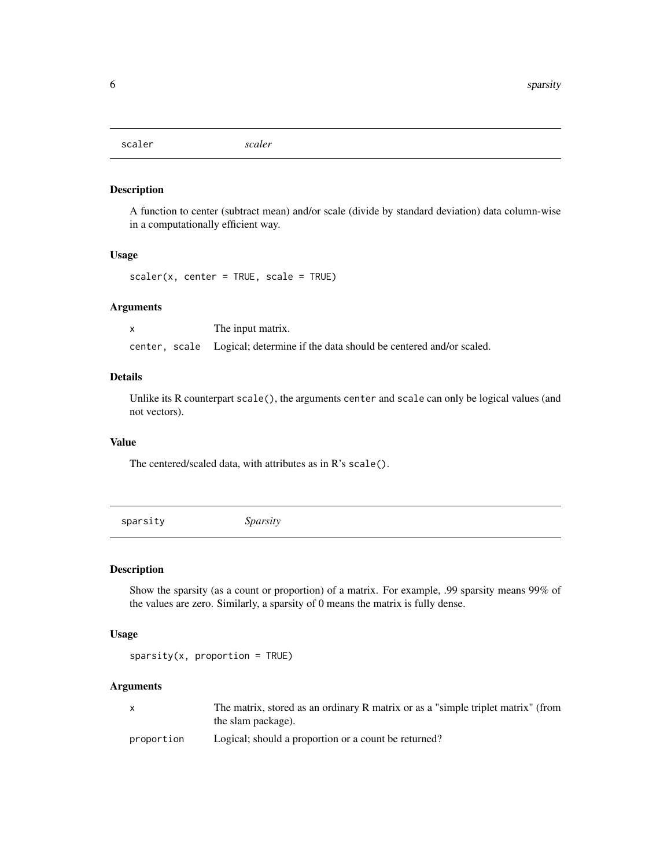<span id="page-5-0"></span>scaler *scaler*

#### Description

A function to center (subtract mean) and/or scale (divide by standard deviation) data column-wise in a computationally efficient way.

#### Usage

 $scalar(x, center = TRUE, scale = TRUE)$ 

# Arguments

x The input matrix. center, scale Logical; determine if the data should be centered and/or scaled.

#### Details

Unlike its R counterpart scale(), the arguments center and scale can only be logical values (and not vectors).

#### Value

The centered/scaled data, with attributes as in R's scale().

<span id="page-5-1"></span>sparsity *Sparsity*

#### Description

Show the sparsity (as a count or proportion) of a matrix. For example, .99 sparsity means 99% of the values are zero. Similarly, a sparsity of 0 means the matrix is fully dense.

#### Usage

```
sparsity(x, proportion = TRUE)
```
#### Arguments

|            | The matrix, stored as an ordinary R matrix or as a "simple triplet matrix" (from |
|------------|----------------------------------------------------------------------------------|
|            | the slam package).                                                               |
| nronortion | Logical: should a proportion or a count be returned?                             |

proportion Logical; should a proportion or a count be returned?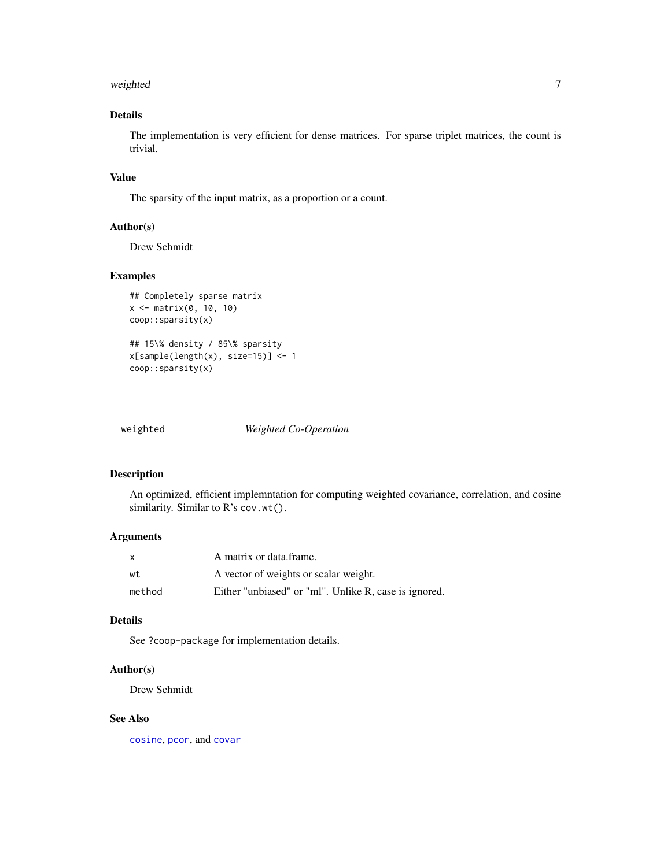#### <span id="page-6-0"></span>weighted 7 and 7 and 7 and 7 and 7 and 7 and 7 and 7 and 7 and 7 and 7 and 7 and 7 and 7 and 7 and 7 and 7 and 7 and 7 and 7 and 7 and 7 and 7 and 7 and 7 and 7 and 7 and 7 and 7 and 7 and 7 and 7 and 7 and 7 and 7 and 7 a

# Details

The implementation is very efficient for dense matrices. For sparse triplet matrices, the count is trivial.

#### Value

The sparsity of the input matrix, as a proportion or a count.

#### Author(s)

Drew Schmidt

# Examples

```
## Completely sparse matrix
x <- matrix(0, 10, 10)
coop::sparsity(x)
## 15\% density / 85\% sparsity
x[sample(length(x), size=15)] <- 1
coop::sparsity(x)
```

| weighted |  |
|----------|--|
|          |  |

weighted *Weighted Co-Operation*

# Description

An optimized, efficient implemntation for computing weighted covariance, correlation, and cosine similarity. Similar to R's cov.wt().

#### Arguments

| X      | A matrix or data frame.                               |
|--------|-------------------------------------------------------|
| wt     | A vector of weights or scalar weight.                 |
| method | Either "unbiased" or "ml". Unlike R, case is ignored. |

# Details

See ?coop-package for implementation details.

# Author(s)

Drew Schmidt

#### See Also

[cosine](#page-2-1), [pcor](#page-4-1), and [covar](#page-3-1)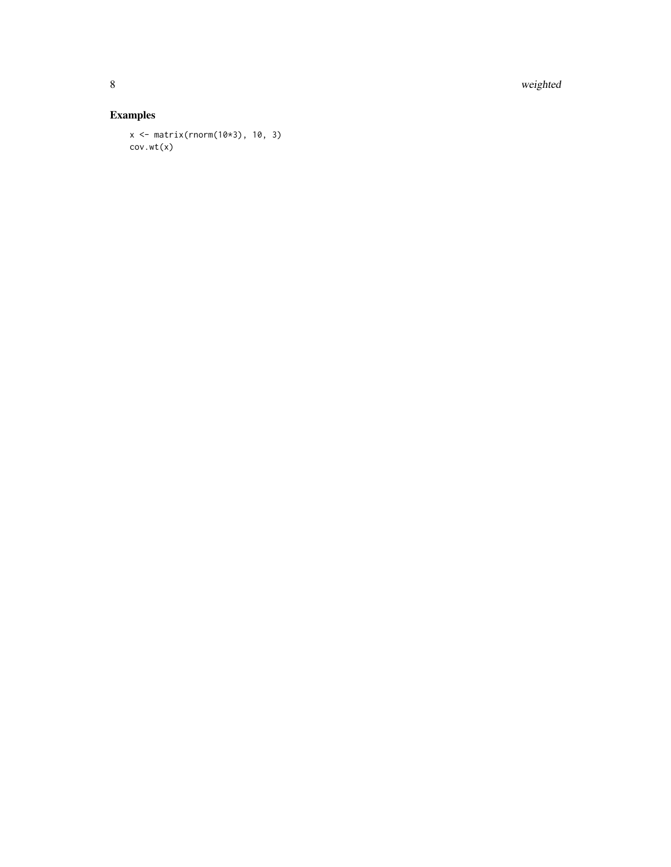8 weighted

```
x <- matrix(rnorm(10*3), 10, 3)
cov.wt(x)
```